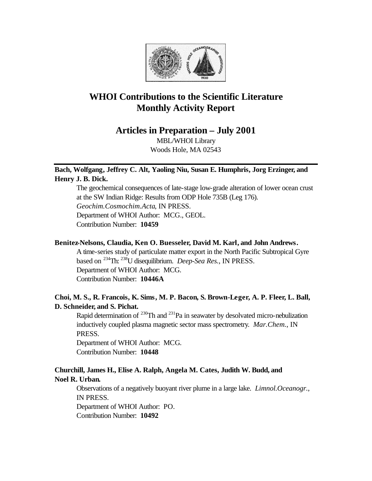

# **WHOI Contributions to the Scientific Literature Monthly Activity Report**

**Articles in Preparation – July 2001**

MBL/WHOI Library Woods Hole, MA 02543

# **Bach, Wolfgang, Jeffrey C. Alt, Yaoling Niu, Susan E. Humphris, Jorg Erzinger, and Henry J. B. Dick.**

The geochemical consequences of late-stage low-grade alteration of lower ocean crust at the SW Indian Ridge: Results from ODP Hole 735B (Leg 176). *Geochim.Cosmochim.Acta*, IN PRESS. Department of WHOI Author: MCG., GEOL. Contribution Number: **10459**

## **Benitez-Nelsons, Claudia, Ken O. Buesseler, David M. Karl, and John Andrews.**

A time-series study of particulate matter export in the North Pacific Subtropical Gyre based on <sup>234</sup>Th: <sup>238</sup>U disequilibrium. *Deep-Sea Res.*, IN PRESS. Department of WHOI Author: MCG. Contribution Number: **10446A**

# **Choi, M. S., R. Francois, K. Sims, M. P. Bacon, S. Brown-Leger, A. P. Fleer, L. Ball, D. Schneider, and S. Pichat.**

Rapid determination of  $^{230}$ Th and  $^{231}$ Pa in seawater by desolvated micro-nebulization inductively coupled plasma magnetic sector mass spectrometry. *Mar.Chem.*, IN PRESS.

Department of WHOI Author: MCG. Contribution Number: **10448**

# **Churchill, James H., Elise A. Ralph, Angela M. Cates, Judith W. Budd, and Noel R. Urban.**

Observations of a negatively buoyant river plume in a large lake. *Limnol.Oceanogr.*, IN PRESS. Department of WHOI Author: PO.

Contribution Number: **10492**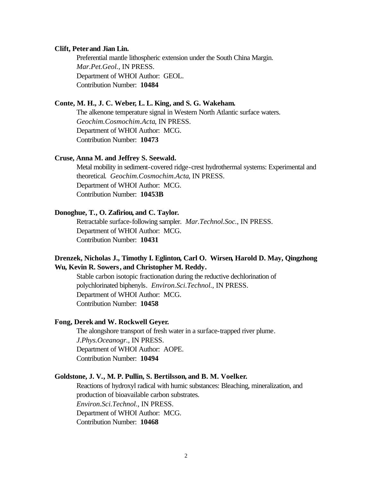#### **Clift, Peter and Jian Lin.**

Preferential mantle lithospheric extension under the South China Margin. *Mar.Pet.Geol.*, IN PRESS. Department of WHOI Author: GEOL. Contribution Number: **10484**

#### **Conte, M. H., J. C. Weber, L. L. King, and S. G. Wakeham.**

The alkenone temperature signal in Western North Atlantic surface waters. *Geochim.Cosmochim.Acta*, IN PRESS. Department of WHOI Author: MCG. Contribution Number: **10473**

#### **Cruse, Anna M. and Jeffrey S. Seewald.**

Metal mobility in sediment-covered ridge-crest hydrothermal systems: Experimental and theoretical. *Geochim.Cosmochim.Acta*, IN PRESS. Department of WHOI Author: MCG. Contribution Number: **10453B**

#### **Donoghue, T., O. Zafiriou, and C. Taylor.**

Retractable surface-following sampler. *Mar.Technol.Soc.*, IN PRESS. Department of WHOI Author: MCG. Contribution Number: **10431**

## **Drenzek, Nicholas J., Timothy I. Eglinton, Carl O. Wirsen, Harold D. May, Qingzhong Wu, Kevin R. Sowers, and Christopher M. Reddy.**

Stable carbon isotopic fractionation during the reductive dechlorination of polychlorinated biphenyls. *Environ.Sci.Technol.*, IN PRESS. Department of WHOI Author: MCG. Contribution Number: **10458**

## **Fong, Derek and W. Rockwell Geyer.**

The alongshore transport of fresh water in a surface-trapped river plume. *J.Phys.Oceanogr.*, IN PRESS. Department of WHOI Author: AOPE. Contribution Number: **10494**

#### **Goldstone, J. V., M. P. Pullin, S. Bertilsson, and B. M. Voelker.**

Reactions of hydroxyl radical with humic substances: Bleaching, mineralization, and production of bioavailable carbon substrates. *Environ.Sci.Technol.*, IN PRESS. Department of WHOI Author: MCG. Contribution Number: **10468**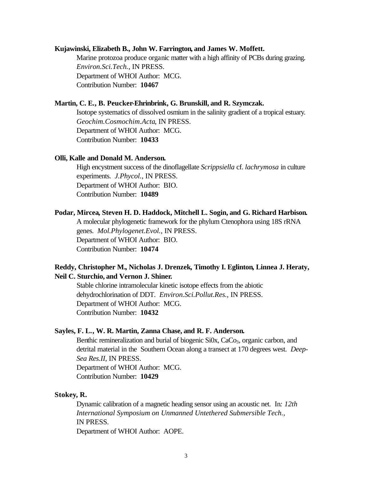#### **Kujawinski, Elizabeth B., John W. Farrington, and James W. Moffett.**

Marine protozoa produce organic matter with a high affinity of PCBs during grazing. *Environ.Sci.Tech.*, IN PRESS. Department of WHOI Author: MCG. Contribution Number: **10467**

#### **Martin, C. E., B. Peucker-Ehrinbrink, G. Brunskill, and R. Szymczak.**

Isotope systematics of dissolved osmium in the salinity gradient of a tropical estuary. *Geochim.Cosmochim.Acta*, IN PRESS. Department of WHOI Author: MCG. Contribution Number: **10433**

#### **Olli, Kalle and Donald M. Anderson.**

High encystment success of the dinoflagellate *Scrippsiella* cf. *lachrymosa* in culture experiments. *J.Phycol.*, IN PRESS. Department of WHOI Author: BIO. Contribution Number: **10489**

#### **Podar, Mircea, Steven H. D. Haddock, Mitchell L. Sogin, and G. Richard Harbison.**

A molecular phylogenetic framework for the phylum Ctenophora using 18S rRNA genes. *Mol.Phylogenet.Evol.*, IN PRESS. Department of WHOI Author: BIO. Contribution Number: **10474**

## **Reddy, Christopher M., Nicholas J. Drenzek, Timothy I. Eglinton, Linnea J. Heraty, Neil C. Sturchio, and Vernon J. Shiner.**

Stable chlorine intramolecular kinetic isotope effects from the abiotic dehydrochlorination of DDT. *Environ.Sci.Pollut.Res.*, IN PRESS. Department of WHOI Author: MCG. Contribution Number: **10432**

## **Sayles, F. L., W. R. Martin, Zanna Chase, and R. F. Anderson.**

Benthic remineralization and burial of biogenic Si0x, CaCo<sub>3</sub>, organic carbon, and detrital material in the Southern Ocean along a transect at 170 degrees west. *Deep-Sea Res.II*, IN PRESS. Department of WHOI Author: MCG. Contribution Number: **10429**

## **Stokey, R.**

Dynamic calibration of a magnetic heading sensor using an acoustic net. In*: 12th International Symposium on Unmanned Untethered Submersible Tech.*, IN PRESS. Department of WHOI Author: AOPE.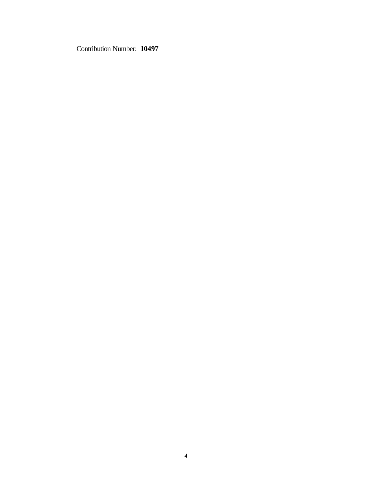Contribution Number: **10497**